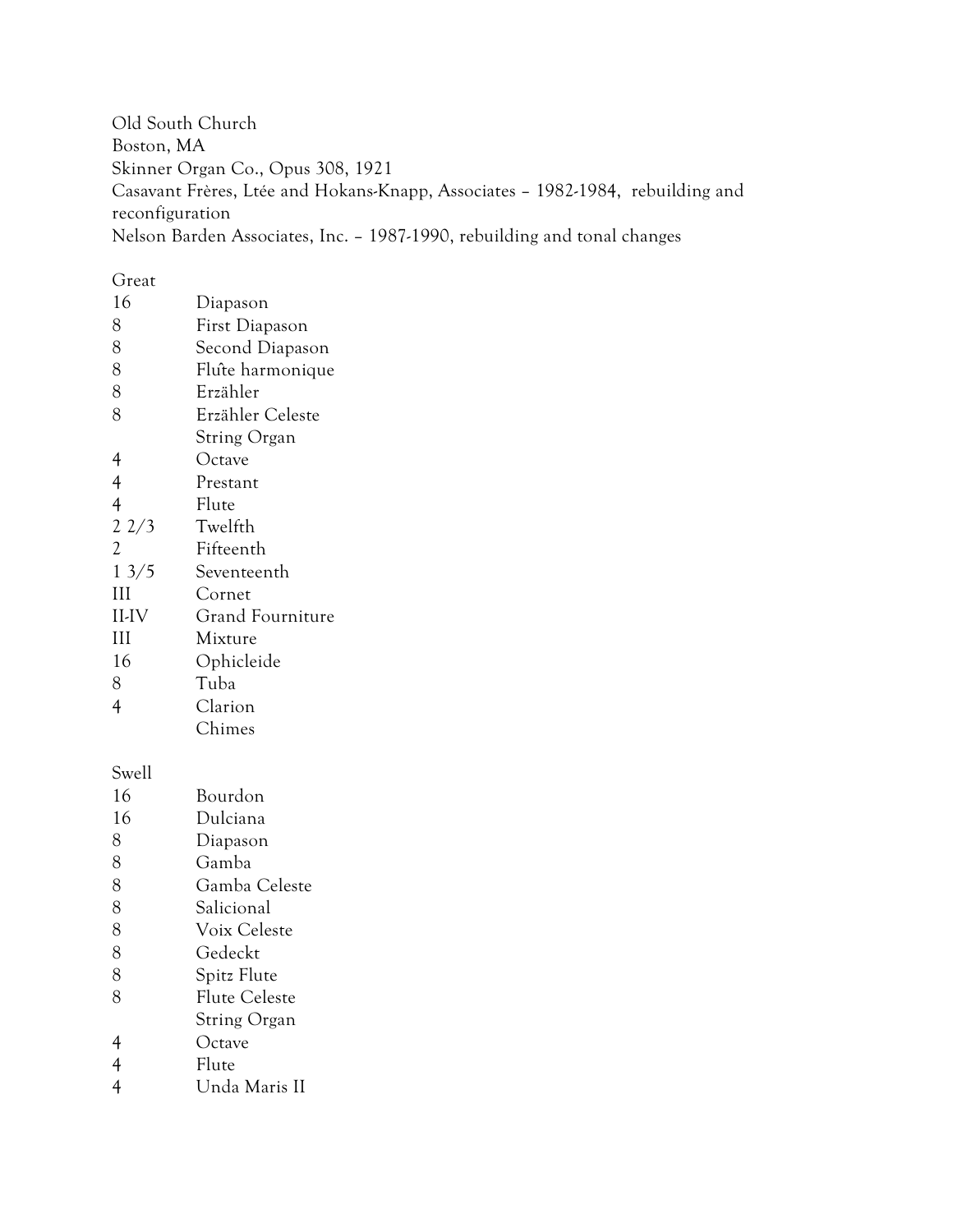Old South Church Boston, MA Skinner Organ Co., Opus 308, 1921 Casavant Frères, Ltée and Hokans-Knapp, Associates – 1982-1984, rebuilding and reconfiguration Nelson Barden Associates, Inc. – 1987-1990, rebuilding and tonal changes

#### Great

| 16             | Diapason                |
|----------------|-------------------------|
| 8              | First Diapason          |
| 8              | Second Diapason         |
| 8              | Flute harmonique        |
| 8              | Erzähler                |
| 8              | Erzähler Celeste        |
|                | String Organ            |
| 4              | Octave                  |
| $\overline{4}$ | Prestant                |
| $\overline{4}$ | Flute                   |
| 22/3           | Twelfth                 |
| $\overline{c}$ | Fifteenth               |
| 13/5           | Seventeenth             |
| III            | Cornet                  |
| II-IV          | <b>Grand Fourniture</b> |
| Ш              | Mixture                 |
| 16             | Ophicleide              |
| 8              | Tuba                    |
| $\overline{4}$ | Clarion                 |
|                | Chimes                  |
| Swell          |                         |
| 16             | Bourdon                 |
| 16             | Dulciana                |
| 8              | Diapason                |
| 8              | Gamba                   |
| 8              | Gamba Celeste           |
| 8              | Salicional              |
| 8              | Voix Celeste            |
| 8              | Gedeckt                 |
| 8              | Spitz Flute             |
|                |                         |

- Flute Celeste
- String Organ
- Octave
- Flute
- Unda Maris II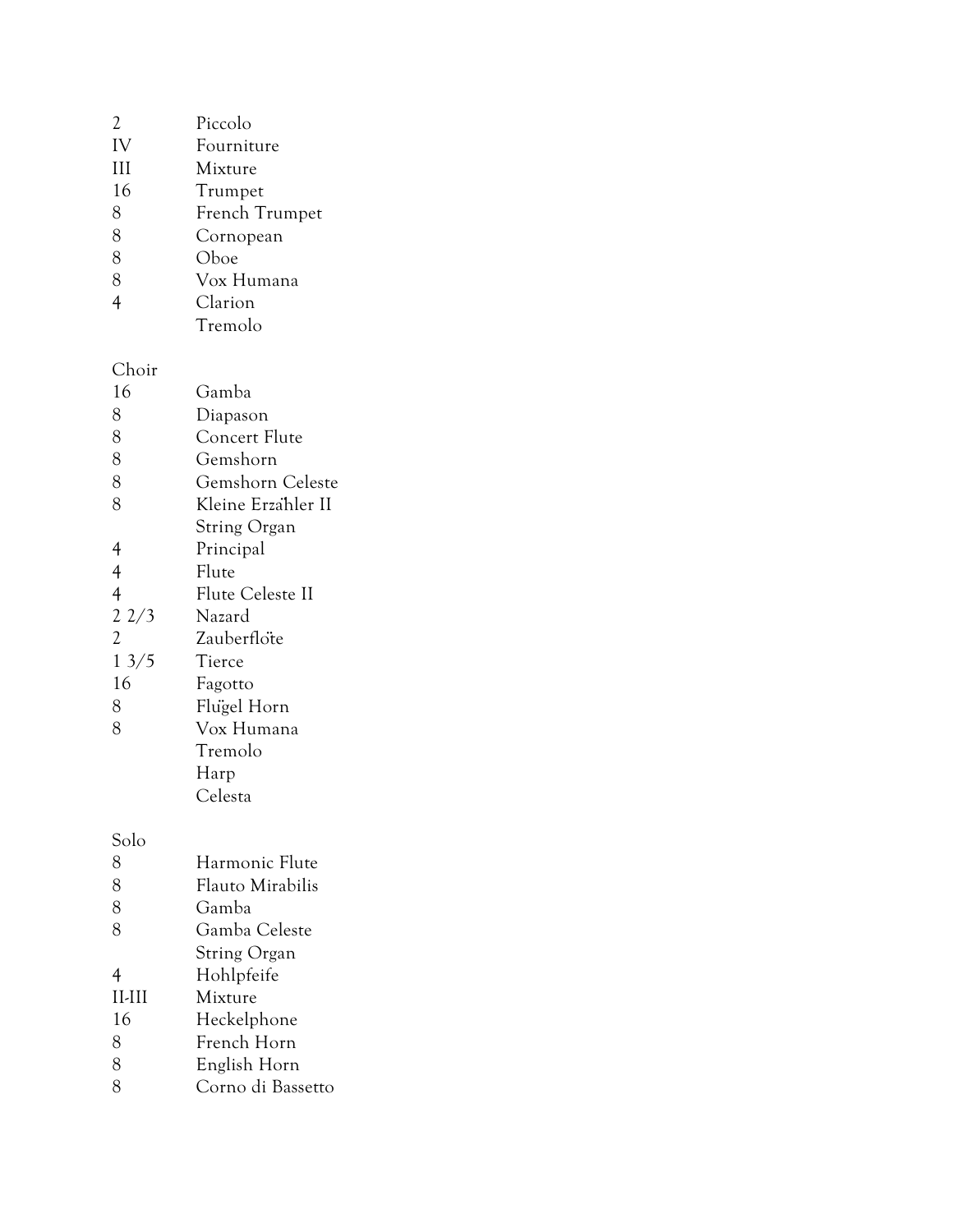| $\mathfrak{D}$ | Piccolo        |
|----------------|----------------|
| IV             | Fourniture     |
| III            | Mixture        |
| 16             | Trumpet        |
| 8              | French Trumpet |
| 8              | Cornopean      |
| 8              | Oboe           |
| 8              | Vox Humana     |
| $\overline{4}$ | Clarion        |
|                | Tremolo        |

#### Choir

| 16             | Gamba                   |
|----------------|-------------------------|
| 8              | Diapason                |
| 8              | Concert Flute           |
| 8              | Gemshorn                |
| 8              | Gemshorn Celeste        |
| 8              | Kleine Erzähler II      |
|                | <b>String Organ</b>     |
| 4              | Principal               |
| $\overline{4}$ | Flute                   |
| $\overline{4}$ | <b>Flute Celeste II</b> |
| 22/3           | Nazard                  |
| $\overline{2}$ | Zauberflote             |
| 13/5           | Tierce                  |
| 16             | Fagotto                 |
| 8              | Flugel Horn             |
| 8              | Vox Humana              |
|                | Tremolo                 |
|                | Harp                    |
|                | Celesta                 |

Solo

| 8            | Harmonic Flute    |
|--------------|-------------------|
| 8            | Flauto Mirabilis  |
| 8            | Gamba             |
| 8            | Gamba Celeste     |
|              | String Organ      |
| 4            | Hohlpfeife        |
| $II$ - $III$ | Mixture           |
| 16           | Heckelphone       |
| 8            | French Horn       |
| 8            | English Horn      |
| ႙            | Corno di Bassetto |
|              |                   |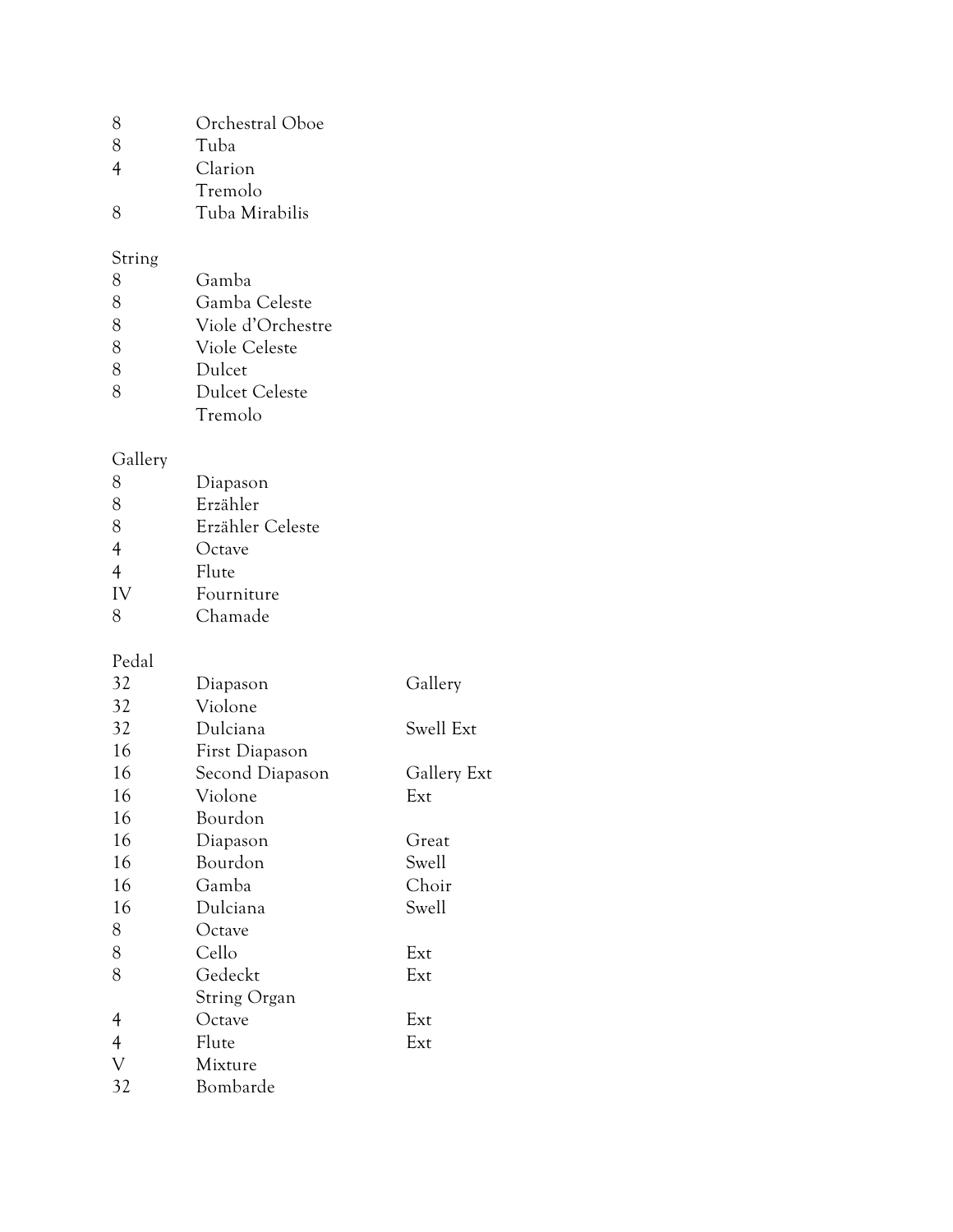| 8 | Orchestral Oboe |  |
|---|-----------------|--|
|   |                 |  |

- 8 Tuba<br>4 Claric
- Clarion
- Tremolo
- Tuba Mirabilis

### String

| 8 | Gamba                 |
|---|-----------------------|
| 8 | Gamba Celeste         |
| 8 | Viole d'Orchestre     |
| 8 | Viole Celeste         |
| 8 | Dulcet                |
| 8 | <b>Dulcet Celeste</b> |
|   | Tremolo               |

## Gallery

| 8              | Diapason         |
|----------------|------------------|
| 8              | Erzähler         |
| 8              | Erzähler Celeste |
| 4              | Octave           |
| $\overline{4}$ | Flute            |
| IV             | Fourniture       |
| 8              | Chamade          |

# Pedal<br>32

| 32             | Diapason        | Gallery     |
|----------------|-----------------|-------------|
| 32             | Violone         |             |
| 32             | Dulciana        | Swell Ext   |
| 16             | First Diapason  |             |
| 16             | Second Diapason | Gallery Ext |
| 16             | Violone         | Ext         |
| 16             | Bourdon         |             |
| 16             | Diapason        | Great       |
| 16             | Bourdon         | Swell       |
| 16             | Gamba           | Choir       |
| 16             | Dulciana        | Swell       |
| 8              | Octave          |             |
| 8              | Cello           | Ext         |
| 8              | Gedeckt         | Ext         |
|                | String Organ    |             |
| $\overline{4}$ | Octave          | Ext         |
| $\overline{4}$ | Flute           | Ext         |
| $\mathbf{V}$   | Mixture         |             |
| 32             | Bombarde        |             |
|                |                 |             |